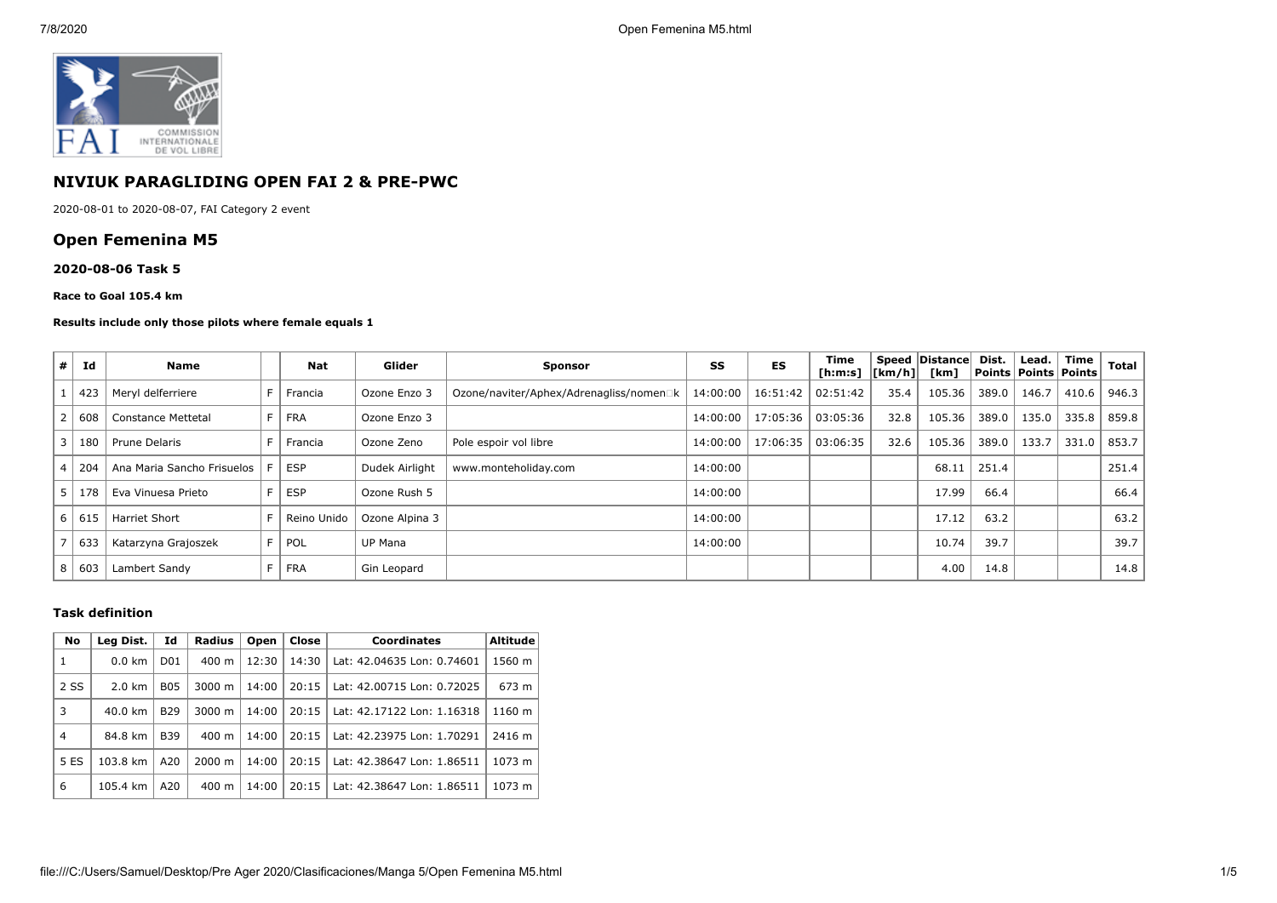

# **NIVIUK PARAGLIDING OPEN FAI 2 & PRE-PWC**

2020-08-01 to 2020-08-07, FAI Category 2 event

# **Open Femenina M5**

## **2020-08-06 Task 5**

### **Race to Goal 105.4 km**

## **Results include only those pilots where female equals 1**

| #                        | Id  | <b>Name</b>                |                | <b>Nat</b>  | Glider         | <b>Sponsor</b>                          | SS       | ES       | Time<br>$[h:m:s]$ $[km/h]$ |      | Speed Distance<br>[km] | Dist. | Lead.<br><b>Points Points Points</b> | Time  | <b>Total</b> |
|--------------------------|-----|----------------------------|----------------|-------------|----------------|-----------------------------------------|----------|----------|----------------------------|------|------------------------|-------|--------------------------------------|-------|--------------|
|                          | 423 | Meryl delferriere          |                | Francia     | Ozone Enzo 3   | Ozone/naviter/Aphex/Adrenagliss/nomen□k | 14:00:00 | 16:51:42 | 02:51:42                   | 35.4 | 105.36                 | 389.0 | 146.7                                | 410.6 | 946.3        |
|                          | 608 | Constance Mettetal         | F.             | <b>FRA</b>  | Ozone Enzo 3   |                                         | 14:00:00 | 17:05:36 | 03:05:36                   | 32.8 | 105.36                 | 389.0 | 135.0                                | 335.8 | 859.8        |
| 3                        | 180 | Prune Delaris              |                | Francia     | Ozone Zeno     | Pole espoir vol libre                   | 14:00:00 | 17:06:35 | 03:06:35                   | 32.6 | 105.36                 | 389.0 | 133.7                                | 331.0 | 853.7        |
| $\overline{a}$           | 204 | Ana Maria Sancho Frisuelos |                | <b>ESP</b>  | Dudek Airlight | www.monteholiday.com                    | 14:00:00 |          |                            |      | 68.11                  | 251.4 |                                      |       | 251.4        |
| -5                       | 178 | Eva Vinuesa Prieto         |                | <b>ESP</b>  | Ozone Rush 5   |                                         | 14:00:00 |          |                            |      | 17.99                  | 66.4  |                                      |       | 66.4         |
| 6                        | 615 | <b>Harriet Short</b>       |                | Reino Unido | Ozone Alpina 3 |                                         | 14:00:00 |          |                            |      | 17.12                  | 63.2  |                                      |       | 63.2         |
| $\overline{\phantom{a}}$ | 633 | Katarzyna Grajoszek        | F <sub>1</sub> | POL         | UP Mana        |                                         | 14:00:00 |          |                            |      | 10.74                  | 39.7  |                                      |       | 39.7         |
| 8                        | 603 | Lambert Sandy              |                | FRA         | Gin Leopard    |                                         |          |          |                            |      | 4.00                   | 14.8  |                                      |       | 14.8         |

## **Task definition**

| No             | Leg Dist.        | Id              | Radius             | Open  | Close | <b>Coordinates</b>         | <b>Altitude</b> |
|----------------|------------------|-----------------|--------------------|-------|-------|----------------------------|-----------------|
| 1              | $0.0 \text{ km}$ | D <sub>01</sub> | $400 \text{ m}$    | 12:30 | 14:30 | Lat: 42.04635 Lon: 0.74601 | 1560 m          |
| 2 SS           | $2.0 \text{ km}$ | <b>B05</b>      | $3000 \; \text{m}$ | 14:00 | 20:15 | Lat: 42.00715 Lon: 0.72025 | 673 m           |
| 3              | 40.0 km          | <b>B29</b>      | $3000 \; \text{m}$ | 14:00 | 20:15 | Lat: 42.17122 Lon: 1.16318 | 1160 m          |
| $\overline{4}$ | 84.8 km          | <b>B39</b>      | $400 \text{ m}$    | 14:00 | 20:15 | Lat: 42.23975 Lon: 1.70291 | 2416 m          |
| 5 ES           | 103.8 km         | A20             | $2000 \; \text{m}$ | 14:00 | 20:15 | Lat: 42.38647 Lon: 1.86511 | 1073 m          |
| 6              | 105.4 km         | A20             | $400 \text{ m}$    | 14:00 | 20:15 | Lat: 42.38647 Lon: 1.86511 | 1073 m          |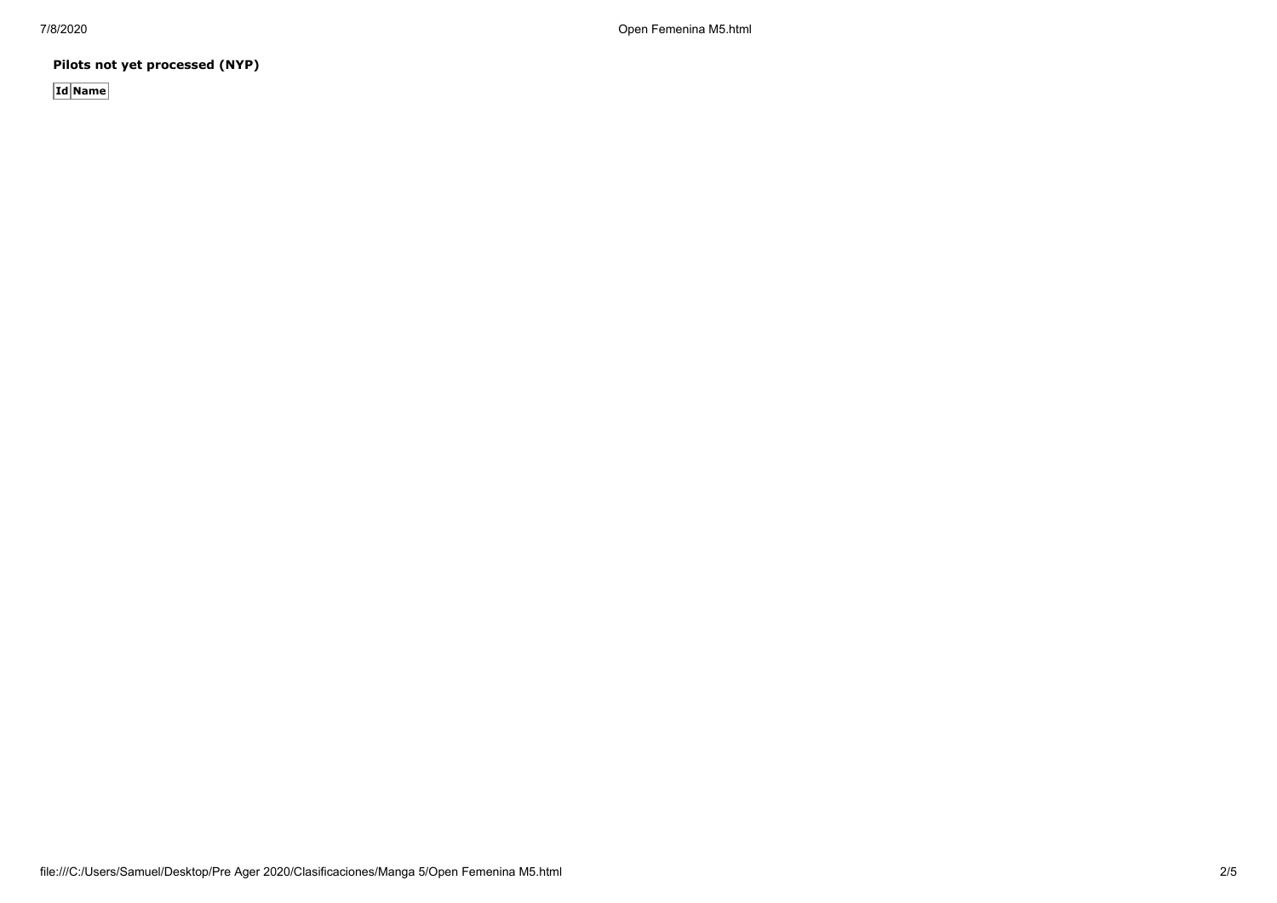7/8/2020 Open Femenina M5.html

**Pilots not yet processed (NYP)**

**Id Name**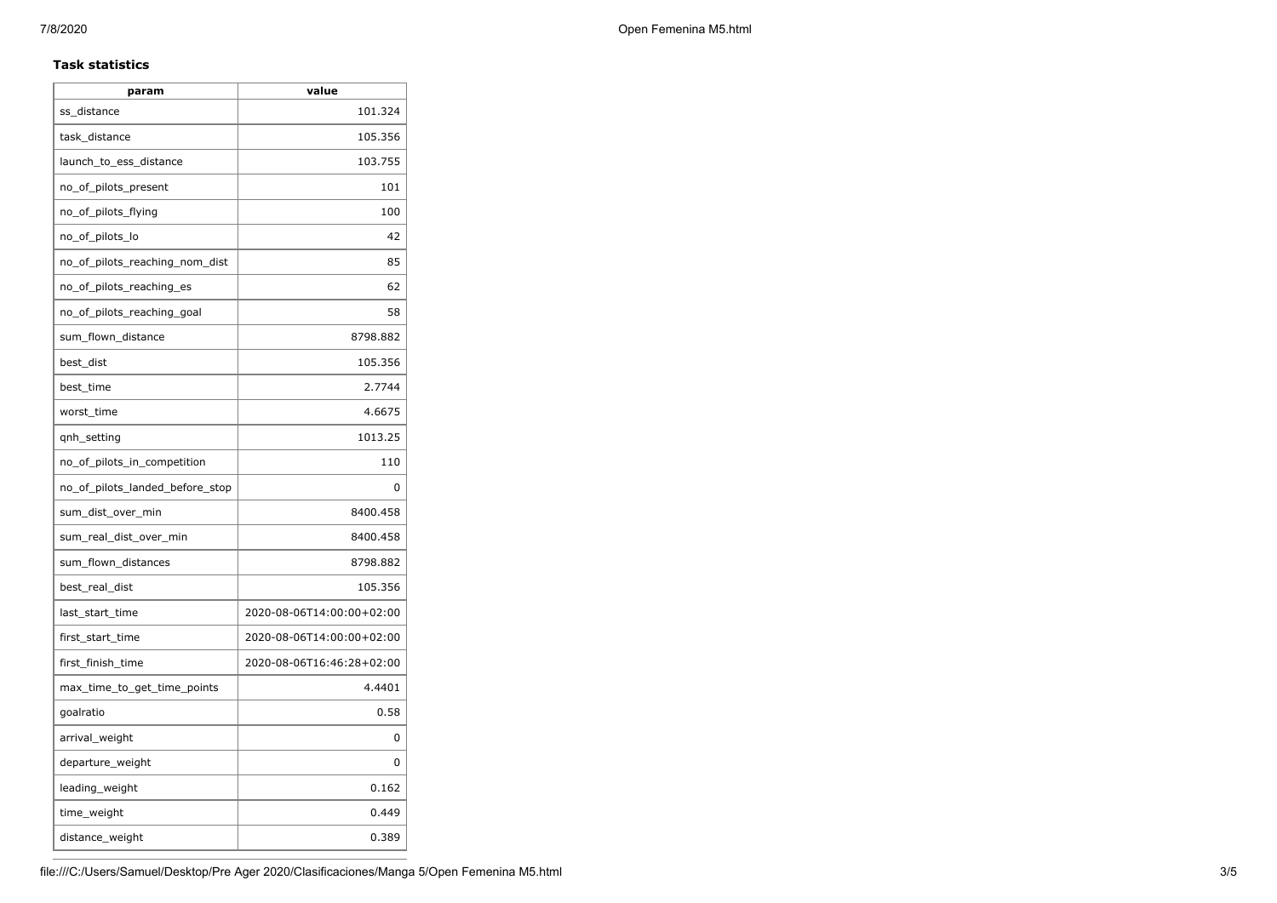## **Task statistics**

| param                           | value                     |
|---------------------------------|---------------------------|
| ss_distance                     | 101.324                   |
| task_distance                   | 105.356                   |
| launch_to_ess_distance          | 103.755                   |
| no_of_pilots_present            | 101                       |
| no_of_pilots_flying             | 100                       |
| no_of_pilots_lo                 | 42                        |
| no_of_pilots_reaching_nom_dist  | 85                        |
| no_of_pilots_reaching_es        | 62                        |
| no_of_pilots_reaching_goal      | 58                        |
| sum_flown_distance              | 8798.882                  |
| best dist                       | 105.356                   |
| best_time                       | 2.7744                    |
| worst_time                      | 4.6675                    |
| gnh_setting                     | 1013.25                   |
| no_of_pilots_in_competition     | 110                       |
| no_of_pilots_landed_before_stop | 0                         |
| sum_dist_over_min               | 8400.458                  |
| sum_real_dist_over_min          | 8400.458                  |
| sum_flown_distances             | 8798.882                  |
| best_real_dist                  | 105.356                   |
| last_start_time                 | 2020-08-06T14:00:00+02:00 |
| first_start_time                | 2020-08-06T14:00:00+02:00 |
| first_finish_time               | 2020-08-06T16:46:28+02:00 |
| max_time_to_get_time_points     | 4.4401                    |
| goalratio                       | 0.58                      |
| arrival_weight                  | 0                         |
| departure_weight                | 0                         |
| leading_weight                  | 0.162                     |
| time_weight                     | 0.449                     |
| distance_weight                 | 0.389                     |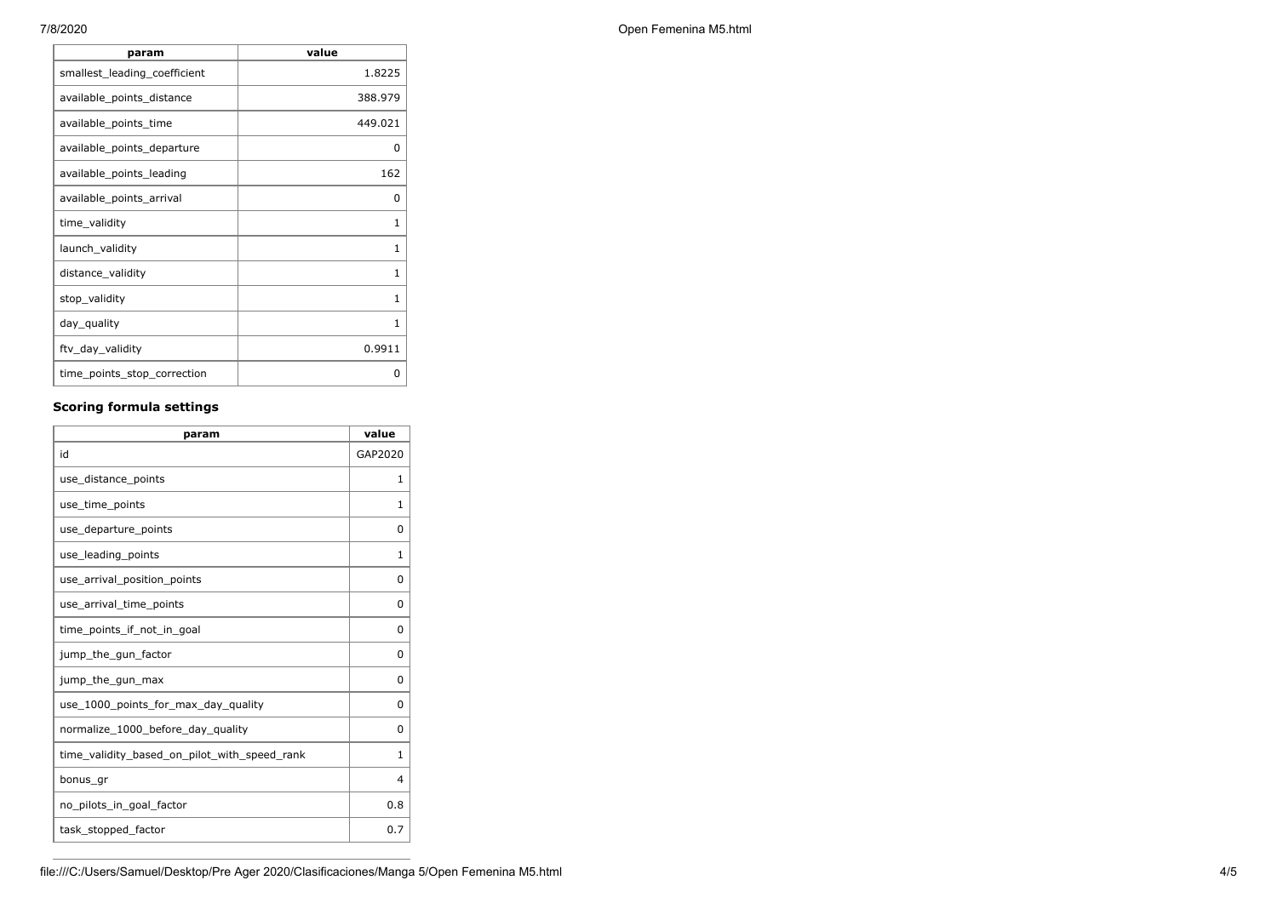| param                        | value   |
|------------------------------|---------|
| smallest_leading_coefficient | 1.8225  |
| available points distance    | 388.979 |
| available_points_time        | 449.021 |
| available points departure   | 0       |
| available_points_leading     | 162     |
| available_points_arrival     | 0       |
| time validity                | 1       |
| launch_validity              | 1       |
| distance_validity            | 1       |
| stop_validity                | 1       |
| day_quality                  | 1       |
| ftv_day_validity             | 0.9911  |
| time_points_stop_correction  | 0       |

# **Scoring formula settings**

| param                                        | value        |
|----------------------------------------------|--------------|
| id                                           | GAP2020      |
| use_distance_points                          | 1            |
| use_time_points                              | 1            |
| use_departure_points                         | 0            |
| use leading points                           | 1            |
| use_arrival_position_points                  | 0            |
| use_arrival_time_points                      | 0            |
| time_points_if_not_in_goal                   | $\Omega$     |
| jump_the_gun_factor                          | $\Omega$     |
| jump_the_gun_max                             | 0            |
| use 1000 points for max day quality          | $\Omega$     |
| normalize_1000_before_day_quality            | 0            |
| time_validity_based_on_pilot_with_speed_rank | $\mathbf{1}$ |
| bonus_gr                                     | 4            |
| no_pilots_in_goal_factor                     | 0.8          |
| task_stopped_factor                          | 0.7          |

7/8/2020 Open Femenina M5.html